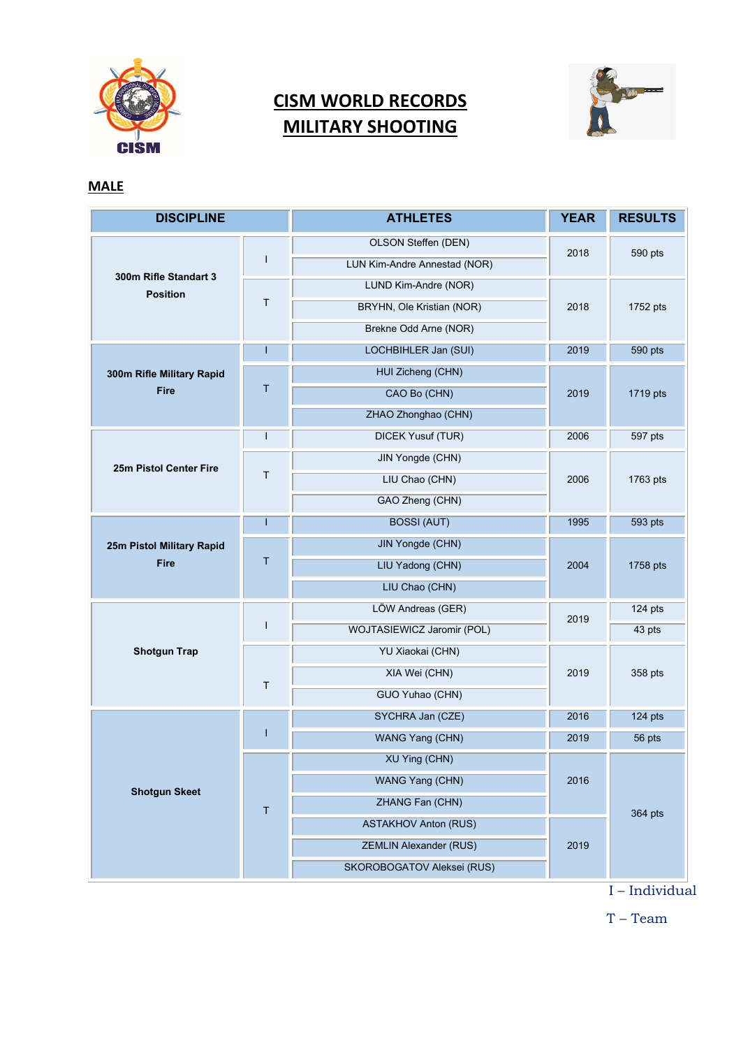

## **CISM WORLD RECORDS MILITARY SHOOTING**



## **MALE**

| <b>DISCIPLINE</b>                        |              | <b>ATHLETES</b>               | <b>YEAR</b> | <b>RESULTS</b> |
|------------------------------------------|--------------|-------------------------------|-------------|----------------|
| 300m Rifle Standart 3<br><b>Position</b> | $\mathbf{I}$ | OLSON Steffen (DEN)           | 2018        | 590 pts        |
|                                          |              | LUN Kim-Andre Annestad (NOR)  |             |                |
|                                          | $\mathsf T$  | LUND Kim-Andre (NOR)          | 2018        | 1752 pts       |
|                                          |              | BRYHN, Ole Kristian (NOR)     |             |                |
|                                          |              | Brekne Odd Arne (NOR)         |             |                |
|                                          | T            | LOCHBIHLER Jan (SUI)          | 2019        | 590 pts        |
| 300m Rifle Military Rapid                | $\mathsf T$  | HUI Zicheng (CHN)             | 2019        | 1719 pts       |
| <b>Fire</b>                              |              | CAO Bo (CHN)                  |             |                |
|                                          |              | ZHAO Zhonghao (CHN)           |             |                |
| 25m Pistol Center Fire                   | T            | DICEK Yusuf (TUR)             | 2006        | 597 pts        |
|                                          |              | JIN Yongde (CHN)              | 2006        | 1763 pts       |
|                                          | $\mathsf T$  | LIU Chao (CHN)                |             |                |
|                                          |              | GAO Zheng (CHN)               |             |                |
| 25m Pistol Military Rapid<br><b>Fire</b> | I            | <b>BOSSI (AUT)</b>            | 1995        | 593 pts        |
|                                          | T            | JIN Yongde (CHN)              | 2004        | 1758 pts       |
|                                          |              | LIU Yadong (CHN)              |             |                |
|                                          |              | LIU Chao (CHN)                |             |                |
| <b>Shotgun Trap</b>                      | I.           | LÖW Andreas (GER)             | 2019        | 124 pts        |
|                                          |              | WOJTASIEWICZ Jaromir (POL)    |             | 43 pts         |
|                                          | $\mathsf T$  | YU Xiaokai (CHN)              | 2019        | 358 pts        |
|                                          |              | XIA Wei (CHN)                 |             |                |
|                                          |              | GUO Yuhao (CHN)               |             |                |
| <b>Shotgun Skeet</b>                     | T            | SYCHRA Jan (CZE)              | 2016        | 124 pts        |
|                                          |              | WANG Yang (CHN)               | 2019        | 56 pts         |
|                                          | $\mathsf T$  | XU Ying (CHN)                 | 2016        | 364 pts        |
|                                          |              | WANG Yang (CHN)               |             |                |
|                                          |              | ZHANG Fan (CHN)               |             |                |
|                                          |              | <b>ASTAKHOV Anton (RUS)</b>   | 2019        |                |
|                                          |              | <b>ZEMLIN Alexander (RUS)</b> |             |                |
|                                          |              | SKOROBOGATOV Aleksei (RUS)    |             |                |

I – Individual

T – Team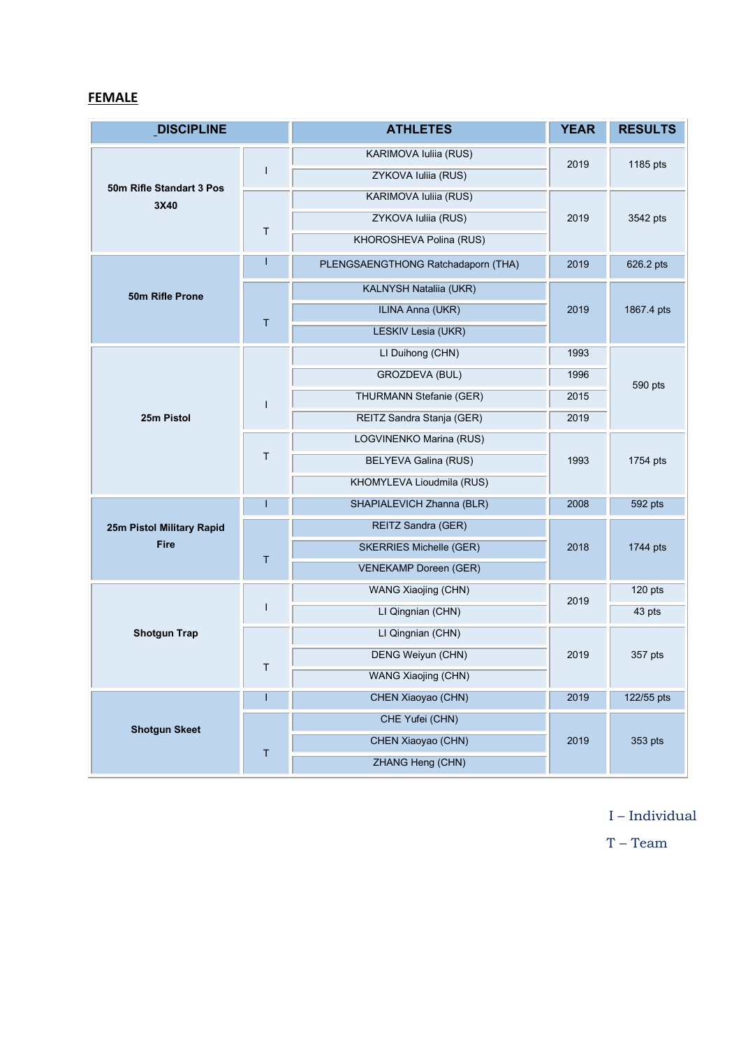## **FEMALE**

| <b>DISCIPLINE</b>                 |              | <b>ATHLETES</b>                    | <b>YEAR</b> | <b>RESULTS</b> |
|-----------------------------------|--------------|------------------------------------|-------------|----------------|
| 50m Rifle Standart 3 Pos<br>3X40  | ш            | <b>KARIMOVA Iuliia (RUS)</b>       | 2019        | 1185 pts       |
|                                   |              | ZYKOVA Iuliia (RUS)                |             |                |
|                                   | $\mathsf T$  | KARIMOVA Iuliia (RUS)              | 2019        | 3542 pts       |
|                                   |              | ZYKOVA Iuliia (RUS)                |             |                |
|                                   |              | KHOROSHEVA Polina (RUS)            |             |                |
| 50m Rifle Prone                   |              | PLENGSAENGTHONG Ratchadaporn (THA) | 2019        | 626.2 pts      |
|                                   |              | KALNYSH Nataliia (UKR)             | 2019        | 1867.4 pts     |
|                                   | T            | ILINA Anna (UKR)                   |             |                |
|                                   |              | LESKIV Lesia (UKR)                 |             |                |
| 25m Pistol                        | $\mathbf{I}$ | LI Duihong (CHN)                   | 1993        | 590 pts        |
|                                   |              | GROZDEVA (BUL)                     | 1996        |                |
|                                   |              | THURMANN Stefanie (GER)            | 2015        |                |
|                                   |              | REITZ Sandra Stanja (GER)          | 2019        |                |
|                                   | $\mathsf T$  | LOGVINENKO Marina (RUS)            | 1993        | 1754 pts       |
|                                   |              | <b>BELYEVA Galina (RUS)</b>        |             |                |
|                                   |              | KHOMYLEVA Lioudmila (RUS)          |             |                |
| 25m Pistol Military Rapid<br>Fire | ı            | SHAPIALEVICH Zhanna (BLR)          | 2008        | 592 pts        |
|                                   | T            | REITZ Sandra (GER)                 | 2018        | 1744 pts       |
|                                   |              | <b>SKERRIES Michelle (GER)</b>     |             |                |
|                                   |              | <b>VENEKAMP Doreen (GER)</b>       |             |                |
| <b>Shotgun Trap</b>               | I            | WANG Xiaojing (CHN)                | 2019        | 120 pts        |
|                                   |              | LI Qingnian (CHN)                  |             | 43 pts         |
|                                   | T            | LI Qingnian (CHN)                  | 2019        | 357 pts        |
|                                   |              | <b>DENG Weiyun (CHN)</b>           |             |                |
|                                   |              | WANG Xiaojing (CHN)                |             |                |
| <b>Shotgun Skeet</b>              |              | CHEN Xiaoyao (CHN)                 | 2019        | 122/55 pts     |
|                                   | Τ            | CHE Yufei (CHN)                    | 2019        | 353 pts        |
|                                   |              | CHEN Xiaoyao (CHN)                 |             |                |
|                                   |              | ZHANG Heng (CHN)                   |             |                |

I – Individual

T – Team